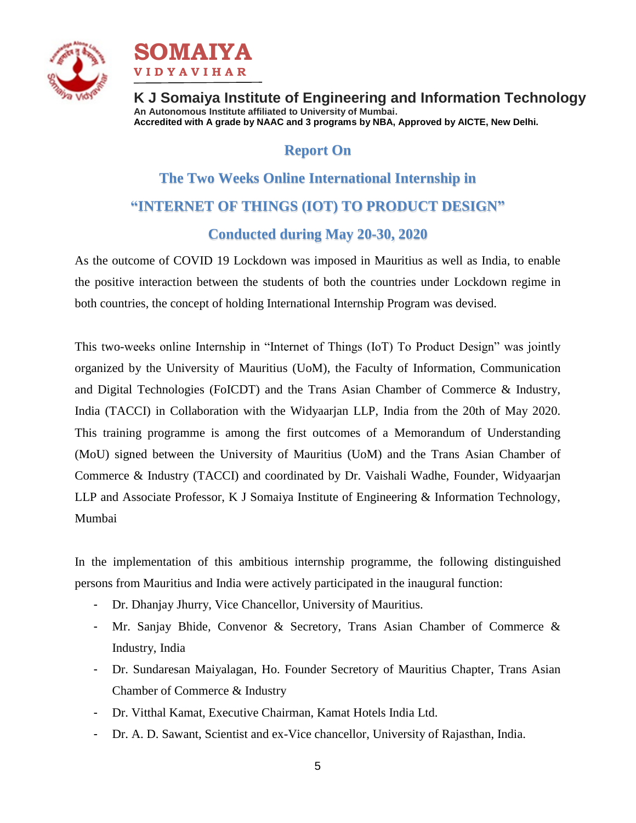



# **Report On**

# **The Two Weeks Online International Internship in "INTERNET OF THINGS (IOT) TO PRODUCT DESIGN"**

## **Conducted during May 20-30, 2020**

As the outcome of COVID 19 Lockdown was imposed in Mauritius as well as India, to enable the positive interaction between the students of both the countries under Lockdown regime in both countries, the concept of holding International Internship Program was devised.

This two-weeks online Internship in "Internet of Things (IoT) To Product Design" was jointly organized by the University of Mauritius (UoM), the Faculty of Information, Communication and Digital Technologies (FoICDT) and the Trans Asian Chamber of Commerce & Industry, India (TACCI) in Collaboration with the Widyaarjan LLP, India from the 20th of May 2020. This training programme is among the first outcomes of a Memorandum of Understanding (MoU) signed between the University of Mauritius (UoM) and the Trans Asian Chamber of Commerce & Industry (TACCI) and coordinated by Dr. Vaishali Wadhe, Founder, Widyaarjan LLP and Associate Professor, K J Somaiya Institute of Engineering & Information Technology, Mumbai

In the implementation of this ambitious internship programme, the following distinguished persons from Mauritius and India were actively participated in the inaugural function:

- Dr. Dhanjay Jhurry, Vice Chancellor, University of Mauritius.
- Mr. Sanjay Bhide, Convenor & Secretory, Trans Asian Chamber of Commerce & Industry, India
- Dr. Sundaresan Maiyalagan, Ho. Founder Secretory of Mauritius Chapter, Trans Asian Chamber of Commerce & Industry
- Dr. Vitthal Kamat, Executive Chairman, Kamat Hotels India Ltd.
- Dr. A. D. Sawant, Scientist and ex-Vice chancellor, University of Rajasthan, India.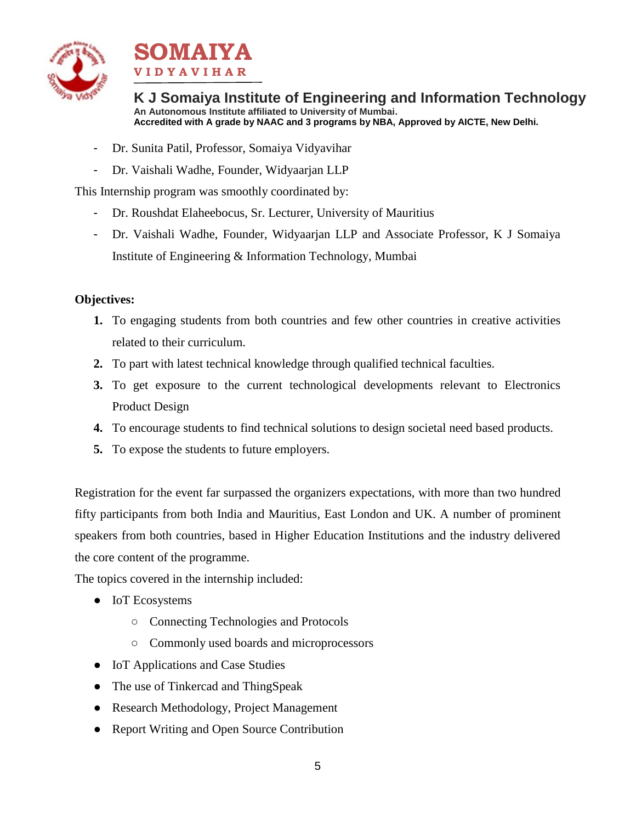



- Dr. Sunita Patil, Professor, Somaiya Vidyavihar
- Dr. Vaishali Wadhe, Founder, Widyaarjan LLP

This Internship program was smoothly coordinated by:

- Dr. Roushdat Elaheebocus, Sr. Lecturer, University of Mauritius
- Dr. Vaishali Wadhe, Founder, Widyaarjan LLP and Associate Professor, K J Somaiya Institute of Engineering & Information Technology, Mumbai

## **Objectives:**

- **1.** To engaging students from both countries and few other countries in creative activities related to their curriculum.
- **2.** To part with latest technical knowledge through qualified technical faculties.
- **3.** To get exposure to the current technological developments relevant to Electronics Product Design
- **4.** To encourage students to find technical solutions to design societal need based products.
- **5.** To expose the students to future employers.

Registration for the event far surpassed the organizers expectations, with more than two hundred fifty participants from both India and Mauritius, East London and UK. A number of prominent speakers from both countries, based in Higher Education Institutions and the industry delivered the core content of the programme.

The topics covered in the internship included:

- IoT Ecosystems
	- Connecting Technologies and Protocols
	- Commonly used boards and microprocessors
- IoT Applications and Case Studies
- The use of Tinkercad and ThingSpeak
- Research Methodology, Project Management
- Report Writing and Open Source Contribution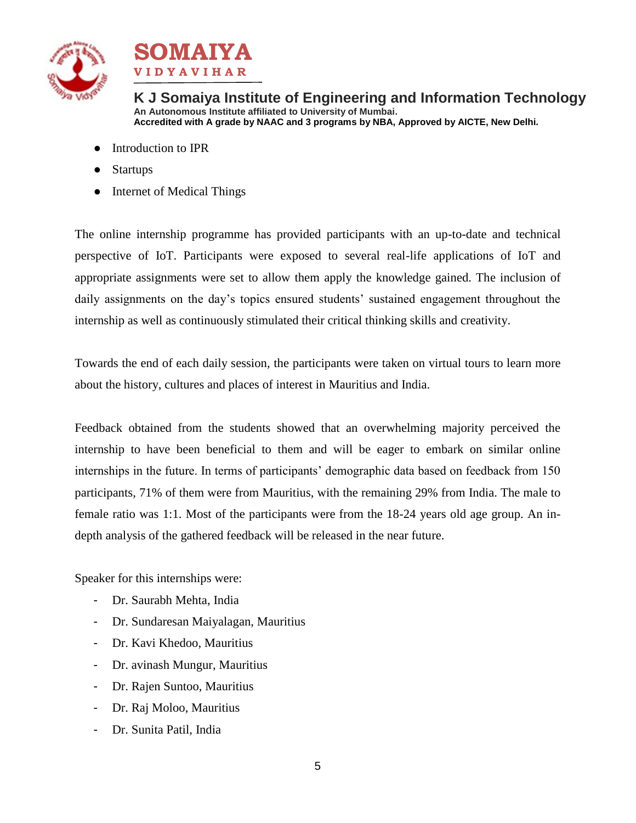



- Introduction to IPR
- **Startups**
- Internet of Medical Things

The online internship programme has provided participants with an up-to-date and technical perspective of IoT. Participants were exposed to several real-life applications of IoT and appropriate assignments were set to allow them apply the knowledge gained. The inclusion of daily assignments on the day's topics ensured students' sustained engagement throughout the internship as well as continuously stimulated their critical thinking skills and creativity.

Towards the end of each daily session, the participants were taken on virtual tours to learn more about the history, cultures and places of interest in Mauritius and India.

Feedback obtained from the students showed that an overwhelming majority perceived the internship to have been beneficial to them and will be eager to embark on similar online internships in the future. In terms of participants' demographic data based on feedback from 150 participants, 71% of them were from Mauritius, with the remaining 29% from India. The male to female ratio was 1:1. Most of the participants were from the 18-24 years old age group. An indepth analysis of the gathered feedback will be released in the near future.

Speaker for this internships were:

- Dr. Saurabh Mehta, India
- Dr. Sundaresan Maiyalagan, Mauritius
- Dr. Kavi Khedoo, Mauritius
- Dr. avinash Mungur, Mauritius
- Dr. Rajen Suntoo, Mauritius
- Dr. Raj Moloo, Mauritius
- Dr. Sunita Patil, India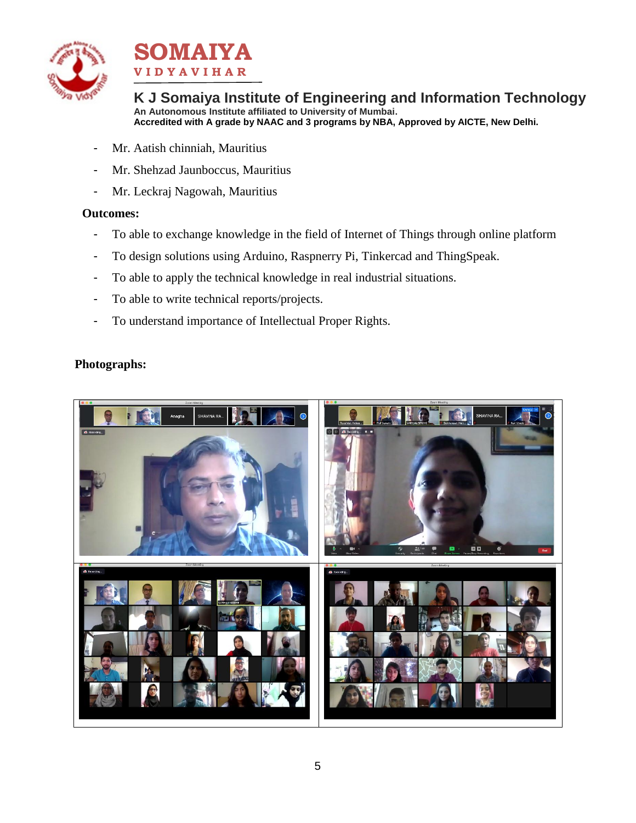



- Mr. Aatish chinniah, Mauritius
- Mr. Shehzad Jaunboccus, Mauritius
- Mr. Leckraj Nagowah, Mauritius

#### **Outcomes:**

- To able to exchange knowledge in the field of Internet of Things through online platform
- To design solutions using Arduino, Raspnerry Pi, Tinkercad and ThingSpeak.
- To able to apply the technical knowledge in real industrial situations.
- To able to write technical reports/projects.
- To understand importance of Intellectual Proper Rights.

### **Photographs:**